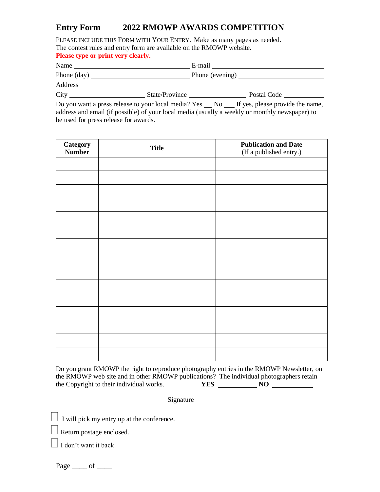## **Entry Form 2022 RMOWP AWARDS COMPETITION**

PLEASE INCLUDE THIS FORM WITH YOUR ENTRY. Make as many pages as needed. The contest rules and entry form are available on the RMOWP website. **Please type or print very clearly.** 

| Name                 |                | E-mail                                                                                                                                                                                                                                                                                                |  |
|----------------------|----------------|-------------------------------------------------------------------------------------------------------------------------------------------------------------------------------------------------------------------------------------------------------------------------------------------------------|--|
| Phone $(\text{day})$ |                |                                                                                                                                                                                                                                                                                                       |  |
| Address              |                |                                                                                                                                                                                                                                                                                                       |  |
| City                 | State/Province | Postal Code                                                                                                                                                                                                                                                                                           |  |
|                      |                | $\mathbf{D}_{\mathbf{a}}$ and means in the set of $\mathbf{a}$ and $\mathbf{a}$ and $\mathbf{a}$ and $\mathbf{v}$ $\mathbf{a}$ and $\mathbf{a}$ and $\mathbf{a}$ and $\mathbf{a}$ and $\mathbf{a}$ and $\mathbf{a}$ and $\mathbf{a}$ and $\mathbf{a}$ and $\mathbf{a}$ and $\mathbf{a}$ and $\mathbf$ |  |

Do you want a press release to your local media? Yes \_\_ No \_\_ If yes, please provide the name, address and email (if possible) of your local media (usually a weekly or monthly newspaper) to be used for press release for awards.

| Category<br><b>Number</b> | <b>Title</b> | <b>Publication and Date</b><br>(If a published entry.) |
|---------------------------|--------------|--------------------------------------------------------|
|                           |              |                                                        |
|                           |              |                                                        |
|                           |              |                                                        |
|                           |              |                                                        |
|                           |              |                                                        |
|                           |              |                                                        |
|                           |              |                                                        |
|                           |              |                                                        |
|                           |              |                                                        |
|                           |              |                                                        |
|                           |              |                                                        |
|                           |              |                                                        |
|                           |              |                                                        |
|                           |              |                                                        |
|                           |              |                                                        |

Do you grant RMOWP the right to reproduce photography entries in the RMOWP Newsletter, on the RMOWP web site and in other RMOWP publications? The individual photographers retain the Copyright to their individual works. **YES** NO

Signature

 $\Box$  I will pick my entry up at the conference.

Return postage enclosed.

 $\Box$  I don't want it back.

Page  $\rule{1em}{0.15mm}$  of  $\rule{1.5mm}{0.15mm}$